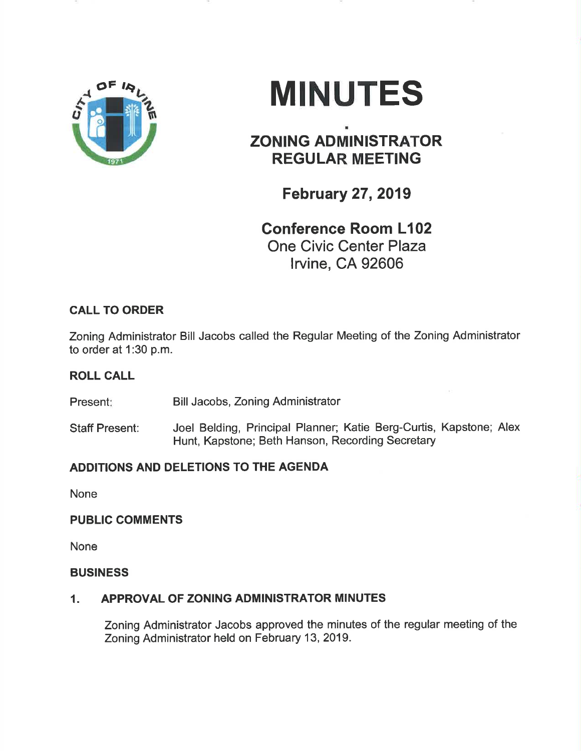

# MINUTES

# ZONING ADMINISTRATOR REGULAR MEETING

February 27,2019

Gonference Room L102 One Civic Center Plaza lrvine, CA 92606

### CALL TO ORDER

Zoning Administrator Bill Jacobs called the Regular Meeting of the Zoning Administrator to order at 1:30 p.m.

## ROLL GALL

Present: Bill Jacobs, Zoning Administrator

Staff Present: Joel Belding, Principal Planner; Katie Berg-Curtis, Kapstone; Alex Hunt, Kapstone; Beth Hanson, Recording Secretary

#### ADDITIONS AND DELETIONS TO THE AGENDA

None

#### PUBLIC COMMENTS

None

#### **BUSINESS**

#### 1. APPROVAL OF ZONING ADMINISTRATOR MINUTES

Zoning Administrator Jacobs approved the minutes of the regular meeting of the Zoning Administrator held on February 13,2019.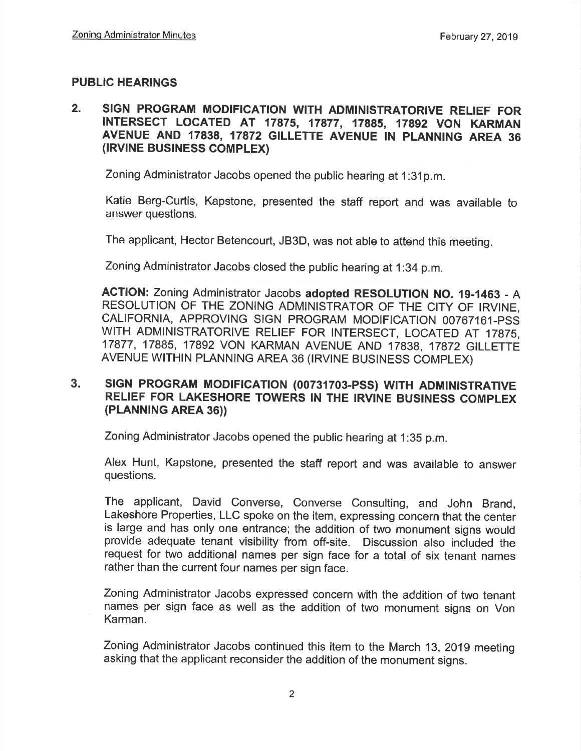#### PUBLIC HEARINGS

#### 2. SIGN PROGRAM MODIFICATION WITH ADMINISTRATORIVE RELIEF FOR INTERSECT LOCATED AT 17875, 17877, 17885, 17892 VON KARMAN AVENUE AND 17838, 17872 GILLETTE AVENUE IN PLANNING AREA 36 (IRVINE BUSINESS COMPLEX)

Zoning Administrator Jacobs opened the public hearing at 1:31p.m.

Katie Berg-Curtis, Kapstone, presented the staff report and was available to answer questions.

The applicant, Hector Betencourt, JB3D, was not able to attend this meeting.

Zoning Administrator Jacobs closed the public hearing at 1:34 p.m.

AcTloN: Zoning Administrator Jacobs adopted RESOLUTION No. 19-1463 - A RESOLUTION OF THE ZONING ADMINISTRATOR OF THE CITY OF IRVINE, CALIFORNIA, APPROVING SIGN PROGRAM MODIFICATION 00767161-PSS WITH ADMINISTRATORIVE RELIEF FOR INTERSECT, LOCATED AT 17875, 17877, 17885, 17892 VON KARMAN AVENUE AND 17838, 17872 GILLETTE AVENUE WITHIN PLANNING AREA 36 (IRVINE BUSINESS COMPLEX)

#### 3. SIGN PROGRAM MODIFICATION (00731703-PSS) WITH ADMINISTRATIVE RELIEF FOR LAKESHORE TOWERS IN THE IRVINE BUSINESS COMPLEX (PLANN|NG AREA 36))

Zoning Administrator Jacobs opened the public hearing at 1:35 p.m.

Alex Hurrt, Kapstone, presented the staff report and was available to answer questions.

The applicant, David converse, converse consulting, and John Brand, Lakeshore Properties, LLC spoke on the item, expressing concern that the center is large and has only one entrance; the addition of two monument signs would provide adequate tenant visibility from off-site. Discussion also included the request for two additional names per sign face for a total of six tenant names rather than the current four names per sign face.

Zoning Administrator Jacobs expressed concern with the addition of two tenant names per sign face as well as the addition of two monument signs on Von Karman.

Zoning Administrator Jacobs continued this item to the March 13,2019 meeting asking that the applicant reconsider the addition of the monument signs.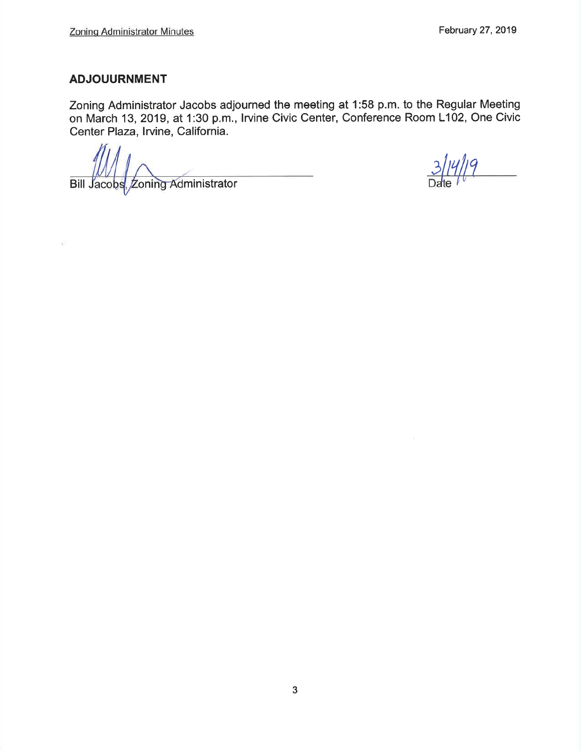#### ADJOUURNMENT

Zoning Administrator Jacobs adjourned the meeting at 1:58 p.m. to the Regular Meeting on March 13,2019, at 1:30 p.m., lrvine Civic Center, Conference Room L102, One Civic Center Plaza, Irvine, California.

Bill Jacobs, Zoning Administrator

<u>Ill q</u>